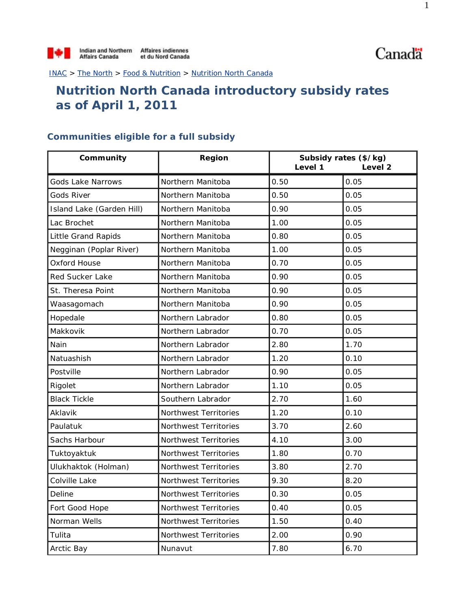INAC > The North > Food & Nutrition > Nutrition North Canada

## **Nutrition North Canada introductory subsidy rates as of April 1, 2011**

## **Communities eligible for a full subsidy**

| Community                  | Region                | Level 1 | Subsidy rates (\$/kg)<br>Level <sub>2</sub> |  |
|----------------------------|-----------------------|---------|---------------------------------------------|--|
| Gods Lake Narrows          | Northern Manitoba     | 0.50    | 0.05                                        |  |
| <b>Gods River</b>          | Northern Manitoba     | 0.50    | 0.05                                        |  |
| Island Lake (Garden Hill)  | Northern Manitoba     | 0.90    | 0.05                                        |  |
| Lac Brochet                | Northern Manitoba     | 1.00    | 0.05                                        |  |
| <b>Little Grand Rapids</b> | Northern Manitoba     | 0.80    | 0.05                                        |  |
| Negginan (Poplar River)    | Northern Manitoba     | 1.00    | 0.05                                        |  |
| Oxford House               | Northern Manitoba     | 0.70    | 0.05                                        |  |
| Red Sucker Lake            | Northern Manitoba     | 0.90    | 0.05                                        |  |
| St. Theresa Point          | Northern Manitoba     | 0.90    | 0.05                                        |  |
| Waasagomach                | Northern Manitoba     | 0.90    | 0.05                                        |  |
| Hopedale                   | Northern Labrador     | 0.80    | 0.05                                        |  |
| Makkovik                   | Northern Labrador     | 0.70    | 0.05                                        |  |
| Nain                       | Northern Labrador     | 2.80    | 1.70                                        |  |
| Natuashish                 | Northern Labrador     | 1.20    | 0.10                                        |  |
| Postville                  | Northern Labrador     | 0.90    | 0.05                                        |  |
| Rigolet                    | Northern Labrador     | 1.10    | 0.05                                        |  |
| <b>Black Tickle</b>        | Southern Labrador     | 2.70    | 1.60                                        |  |
| Aklavik                    | Northwest Territories | 1.20    | 0.10                                        |  |
| Paulatuk                   | Northwest Territories | 3.70    | 2.60                                        |  |
| Sachs Harbour              | Northwest Territories | 4.10    | 3.00                                        |  |
| Tuktoyaktuk                | Northwest Territories | 1.80    | 0.70                                        |  |
| Ulukhaktok (Holman)        | Northwest Territories | 3.80    | 2.70                                        |  |
| Colville Lake              | Northwest Territories | 9.30    | 8.20                                        |  |
| Deline                     | Northwest Territories | 0.30    | 0.05                                        |  |
| Fort Good Hope             | Northwest Territories | 0.40    | 0.05                                        |  |
| Norman Wells               | Northwest Territories | 1.50    | 0.40                                        |  |
| Tulita                     | Northwest Territories | 2.00    | 0.90                                        |  |
| Arctic Bay                 | Nunavut               | 7.80    | 6.70                                        |  |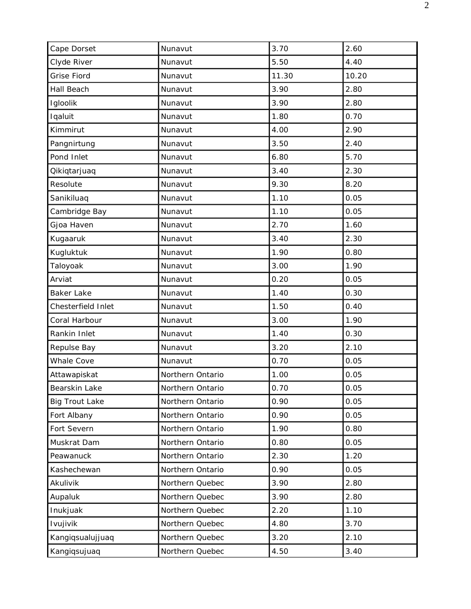| Cape Dorset           | Nunavut          | 3.70  | 2.60  |
|-----------------------|------------------|-------|-------|
| Clyde River           | Nunavut          | 5.50  | 4.40  |
| <b>Grise Fiord</b>    | Nunavut          | 11.30 | 10.20 |
| Hall Beach            | Nunavut          | 3.90  | 2.80  |
| Igloolik              | Nunavut          | 3.90  | 2.80  |
| Iqaluit               | Nunavut          | 1.80  | 0.70  |
| Kimmirut              | Nunavut          | 4.00  | 2.90  |
| Pangnirtung           | Nunavut          | 3.50  | 2.40  |
| Pond Inlet            | Nunavut          | 6.80  | 5.70  |
| Qikiqtarjuaq          | Nunavut          | 3.40  | 2.30  |
| Resolute              | Nunavut          | 9.30  | 8.20  |
| Sanikiluaq            | Nunavut          | 1.10  | 0.05  |
| Cambridge Bay         | Nunavut          | 1.10  | 0.05  |
| Gjoa Haven            | Nunavut          | 2.70  | 1.60  |
| Kugaaruk              | Nunavut          | 3.40  | 2.30  |
| Kugluktuk             | Nunavut          | 1.90  | 0.80  |
| Taloyoak              | Nunavut          | 3.00  | 1.90  |
| Arviat                | Nunavut          | 0.20  | 0.05  |
| <b>Baker Lake</b>     | Nunavut          | 1.40  | 0.30  |
| Chesterfield Inlet    | Nunavut          | 1.50  | 0.40  |
| Coral Harbour         | Nunavut          | 3.00  | 1.90  |
| Rankin Inlet          | Nunavut          | 1.40  | 0.30  |
| Repulse Bay           | Nunavut          | 3.20  | 2.10  |
| Whale Cove            | Nunavut          | 0.70  | 0.05  |
| Attawapiskat          | Northern Ontario | 1.00  | 0.05  |
| Bearskin Lake         | Northern Ontario | 0.70  | 0.05  |
| <b>Big Trout Lake</b> | Northern Ontario | 0.90  | 0.05  |
| Fort Albany           | Northern Ontario | 0.90  | 0.05  |
| Fort Severn           | Northern Ontario | 1.90  | 0.80  |
| Muskrat Dam           | Northern Ontario | 0.80  | 0.05  |
| Peawanuck             | Northern Ontario | 2.30  | 1.20  |
| Kashechewan           | Northern Ontario | 0.90  | 0.05  |
| Akulivik              | Northern Quebec  | 3.90  | 2.80  |
| Aupaluk               | Northern Quebec  | 3.90  | 2.80  |
| Inukjuak              | Northern Quebec  | 2.20  | 1.10  |
| Ivujivik              | Northern Quebec  | 4.80  | 3.70  |
| Kangiqsualujjuaq      | Northern Quebec  | 3.20  | 2.10  |
| Kangiqsujuaq          | Northern Quebec  | 4.50  | 3.40  |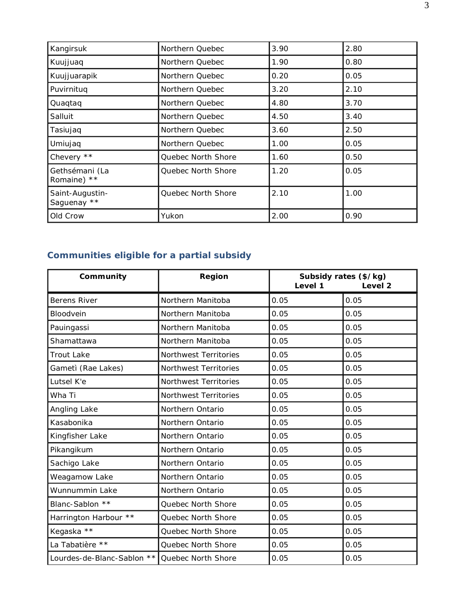| Kangirsuk                      | Northern Quebec    | 3.90 | 2.80 |
|--------------------------------|--------------------|------|------|
| Kuujjuaq                       | Northern Quebec    | 1.90 | 0.80 |
| Kuujjuarapik                   | Northern Quebec    | 0.20 | 0.05 |
| Puvirnituq                     | Northern Quebec    | 3.20 | 2.10 |
| Quaqtaq                        | Northern Quebec    | 4.80 | 3.70 |
| Salluit                        | Northern Quebec    | 4.50 | 3.40 |
| Tasiujaq                       | Northern Quebec    | 3.60 | 2.50 |
| Umiujaq                        | Northern Quebec    | 1.00 | 0.05 |
| Chevery **                     | Quebec North Shore | 1.60 | 0.50 |
| Gethsémani (La<br>Romaine) **  | Quebec North Shore | 1.20 | 0.05 |
| Saint-Augustin-<br>Saquenay ** | Quebec North Shore | 2.10 | 1.00 |
| Old Crow                       | Yukon              | 2.00 | 0.90 |

## **Communities eligible for a partial subsidy**

| Community                  | Region                | Subsidy rates (\$/kg)<br>Level 1<br>Level <sub>2</sub> |      |
|----------------------------|-----------------------|--------------------------------------------------------|------|
| <b>Berens River</b>        | Northern Manitoba     | 0.05                                                   | 0.05 |
| Bloodvein                  | Northern Manitoba     | 0.05                                                   | 0.05 |
| Pauingassi                 | Northern Manitoba     | 0.05                                                   | 0.05 |
| Shamattawa                 | Northern Manitoba     | 0.05                                                   | 0.05 |
| <b>Trout Lake</b>          | Northwest Territories | 0.05                                                   | 0.05 |
| Gametì (Rae Lakes)         | Northwest Territories | 0.05                                                   | 0.05 |
| Lutsel K'e                 | Northwest Territories | 0.05                                                   | 0.05 |
| Wha Ti                     | Northwest Territories | 0.05                                                   | 0.05 |
| Angling Lake               | Northern Ontario      | 0.05                                                   | 0.05 |
| Kasabonika                 | Northern Ontario      | 0.05                                                   | 0.05 |
| Kingfisher Lake            | Northern Ontario      | 0.05                                                   | 0.05 |
| Pikangikum                 | Northern Ontario      | 0.05                                                   | 0.05 |
| Sachigo Lake               | Northern Ontario      | 0.05                                                   | 0.05 |
| Weagamow Lake              | Northern Ontario      | 0.05                                                   | 0.05 |
| Wunnummin Lake             | Northern Ontario      | 0.05                                                   | 0.05 |
| Blanc-Sablon **            | Quebec North Shore    | 0.05                                                   | 0.05 |
| Harrington Harbour **      | Quebec North Shore    | 0.05                                                   | 0.05 |
| Kegaska **                 | Quebec North Shore    | 0.05                                                   | 0.05 |
| La Tabatière **            | Quebec North Shore    | 0.05                                                   | 0.05 |
| Lourdes-de-Blanc-Sablon ** | Quebec North Shore    | 0.05                                                   | 0.05 |